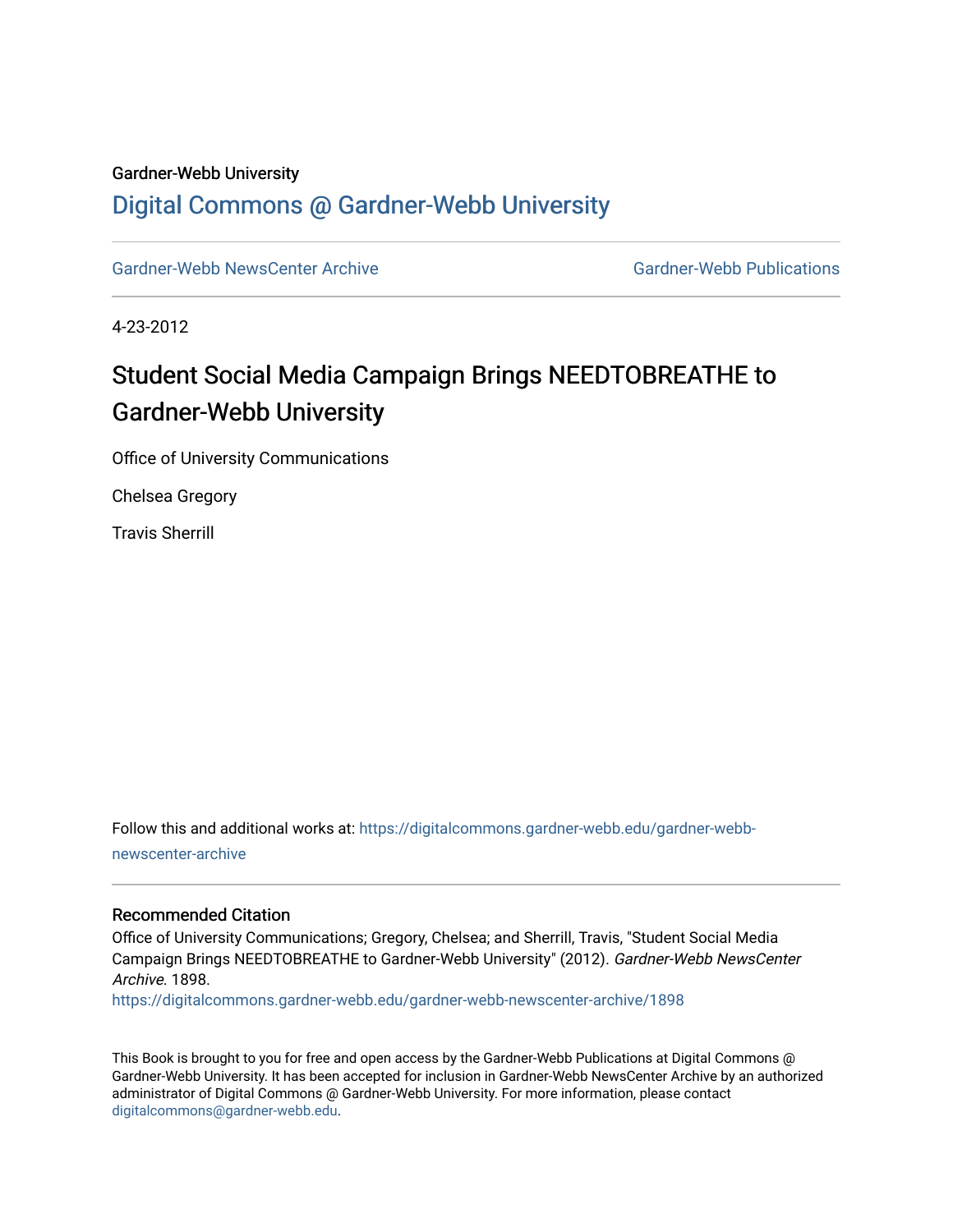### Gardner-Webb University

## [Digital Commons @ Gardner-Webb University](https://digitalcommons.gardner-webb.edu/)

[Gardner-Webb NewsCenter Archive](https://digitalcommons.gardner-webb.edu/gardner-webb-newscenter-archive) Gardner-Webb Publications

4-23-2012

# Student Social Media Campaign Brings NEEDTOBREATHE to Gardner-Webb University

Office of University Communications

Chelsea Gregory

Travis Sherrill

Follow this and additional works at: [https://digitalcommons.gardner-webb.edu/gardner-webb](https://digitalcommons.gardner-webb.edu/gardner-webb-newscenter-archive?utm_source=digitalcommons.gardner-webb.edu%2Fgardner-webb-newscenter-archive%2F1898&utm_medium=PDF&utm_campaign=PDFCoverPages)[newscenter-archive](https://digitalcommons.gardner-webb.edu/gardner-webb-newscenter-archive?utm_source=digitalcommons.gardner-webb.edu%2Fgardner-webb-newscenter-archive%2F1898&utm_medium=PDF&utm_campaign=PDFCoverPages)

#### Recommended Citation

Office of University Communications; Gregory, Chelsea; and Sherrill, Travis, "Student Social Media Campaign Brings NEEDTOBREATHE to Gardner-Webb University" (2012). Gardner-Webb NewsCenter Archive. 1898.

[https://digitalcommons.gardner-webb.edu/gardner-webb-newscenter-archive/1898](https://digitalcommons.gardner-webb.edu/gardner-webb-newscenter-archive/1898?utm_source=digitalcommons.gardner-webb.edu%2Fgardner-webb-newscenter-archive%2F1898&utm_medium=PDF&utm_campaign=PDFCoverPages) 

This Book is brought to you for free and open access by the Gardner-Webb Publications at Digital Commons @ Gardner-Webb University. It has been accepted for inclusion in Gardner-Webb NewsCenter Archive by an authorized administrator of Digital Commons @ Gardner-Webb University. For more information, please contact [digitalcommons@gardner-webb.edu](mailto:digitalcommons@gardner-webb.edu).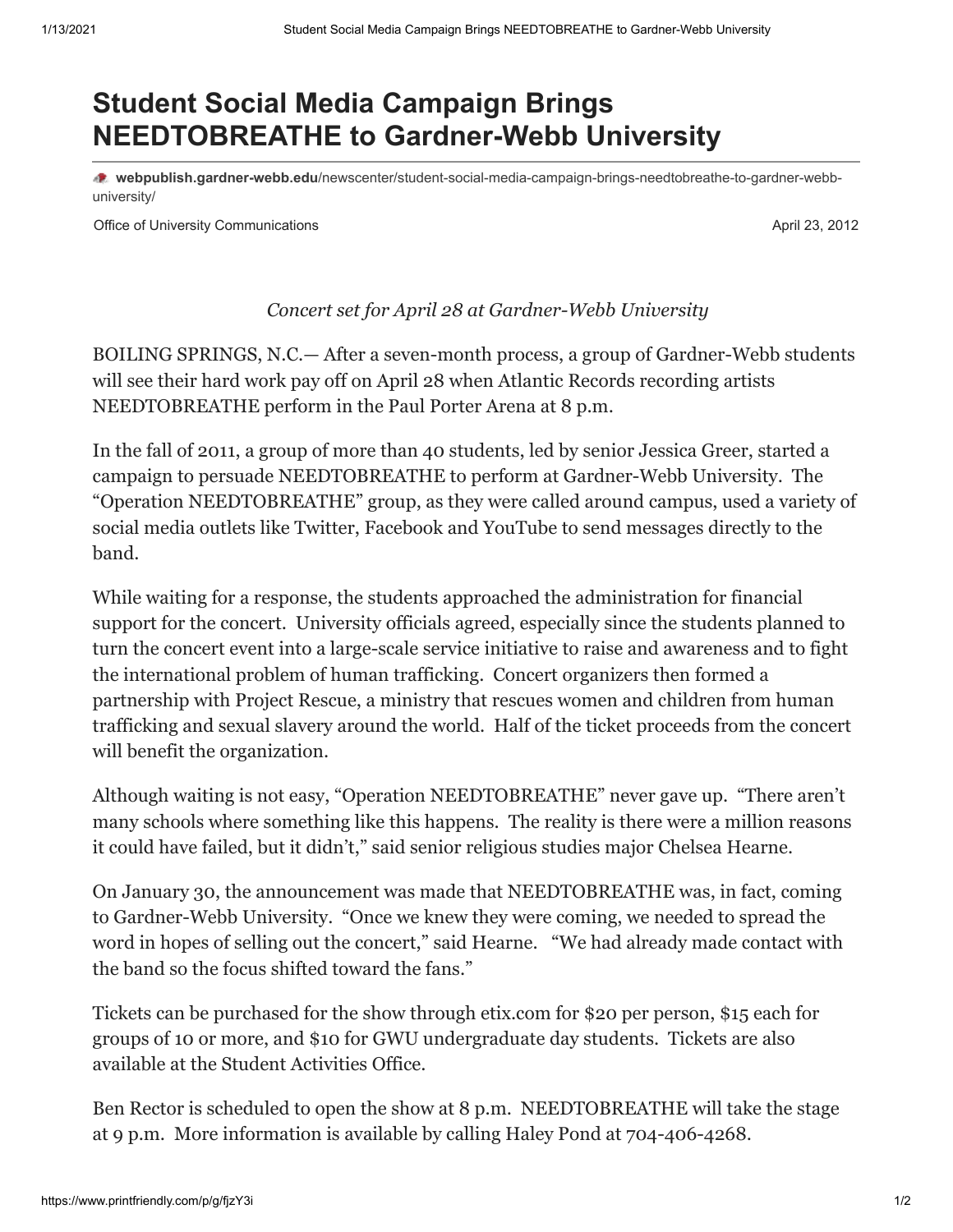# **Student Social Media Campaign Brings NEEDTOBREATHE to Gardner-Webb University**

**webpublish.gardner-webb.edu**[/newscenter/student-social-media-campaign-brings-needtobreathe-to-gardner-webb](https://webpublish.gardner-webb.edu/newscenter/student-social-media-campaign-brings-needtobreathe-to-gardner-webb-university/)university/

Office of University Communications **April 23, 2012 April 23, 2012** 

### *Concert set for April 28 at Gardner-Webb University*

BOILING SPRINGS, N.C.— After a seven-month process, a group of Gardner-Webb students will see their hard work pay off on April 28 when Atlantic Records recording artists NEEDTOBREATHE perform in the Paul Porter Arena at 8 p.m.

In the fall of 2011, a group of more than 40 students, led by senior Jessica Greer, started a campaign to persuade NEEDTOBREATHE to perform at Gardner-Webb University. The "Operation NEEDTOBREATHE" group, as they were called around campus, used a variety of social media outlets like Twitter, Facebook and YouTube to send messages directly to the band.

While waiting for a response, the students approached the administration for financial support for the concert. University officials agreed, especially since the students planned to turn the concert event into a large-scale service initiative to raise and awareness and to fight the international problem of human trafficking. Concert organizers then formed a partnership with Project Rescue, a ministry that rescues women and children from human trafficking and sexual slavery around the world. Half of the ticket proceeds from the concert will benefit the organization.

Although waiting is not easy, "Operation NEEDTOBREATHE" never gave up. "There aren't many schools where something like this happens. The reality is there were a million reasons it could have failed, but it didn't," said senior religious studies major Chelsea Hearne.

On January 30, the announcement was made that NEEDTOBREATHE was, in fact, coming to Gardner-Webb University. "Once we knew they were coming, we needed to spread the word in hopes of selling out the concert," said Hearne. "We had already made contact with the band so the focus shifted toward the fans."

Tickets can be purchased for the show through etix.com for \$20 per person, \$15 each for groups of 10 or more, and \$10 for GWU undergraduate day students. Tickets are also available at the Student Activities Office.

Ben Rector is scheduled to open the show at 8 p.m. NEEDTOBREATHE will take the stage at 9 p.m. More information is available by calling Haley Pond at 704-406-4268.